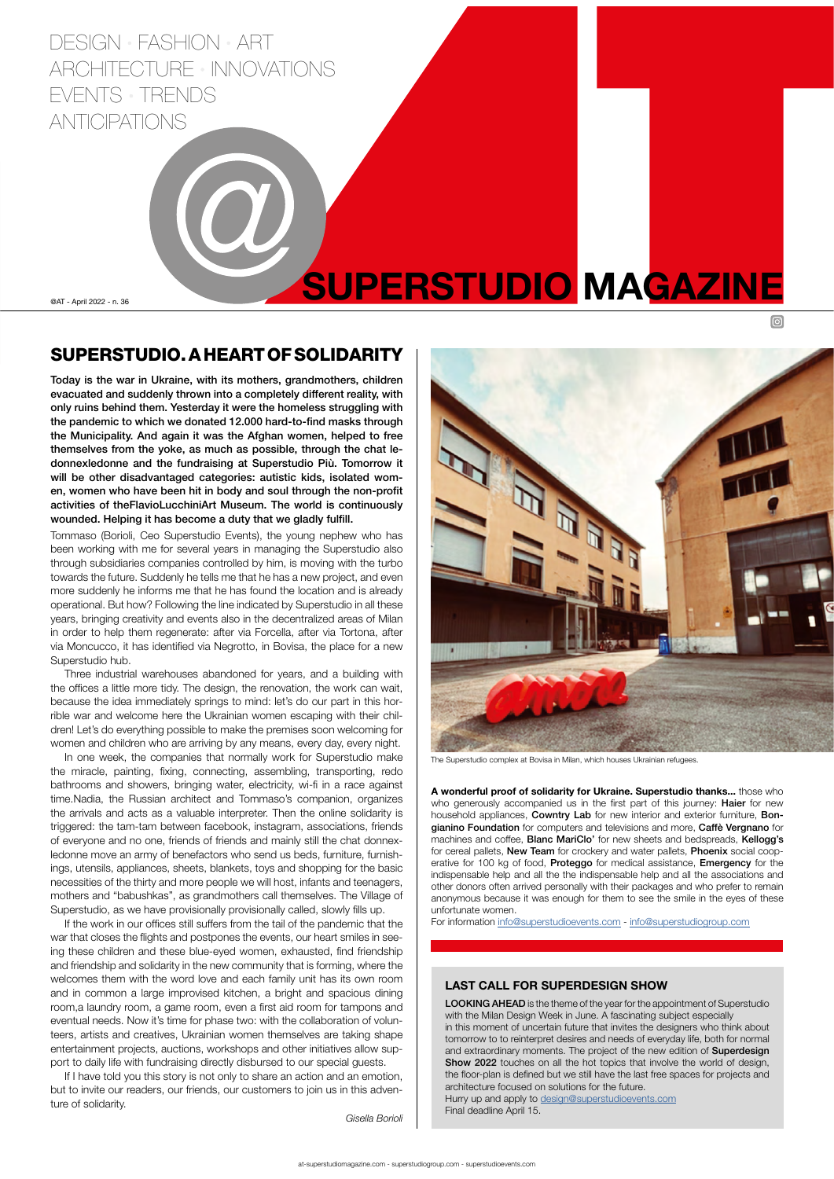@AT - April 2022 - n. 36



The Superstudio complex at Bovisa in Milan, which houses Ukrainian refugees.

## SUPERSTUDIO. A HEART OF SOLIDARITY

Today is the war in Ukraine, with its mothers, grandmothers, children evacuated and suddenly thrown into a completely different reality, with only ruins behind them. Yesterday it were the homeless struggling with the pandemic to which we donated 12.000 hard-to-find masks through the Municipality. And again it was the Afghan women, helped to free themselves from the yoke, as much as possible, through the chat ledonnexledonne and the fundraising at Superstudio Più. Tomorrow it will be other disadvantaged categories: autistic kids, isolated women, women who have been hit in body and soul through the non-profit activities of theFlavioLucchiniArt Museum. The world is continuously wounded. Helping it has become a duty that we gladly fulfill.

Tommaso (Borioli, Ceo Superstudio Events), the young nephew who has been working with me for several years in managing the Superstudio also through subsidiaries companies controlled by him, is moving with the turbo towards the future. Suddenly he tells me that he has a new project, and even more suddenly he informs me that he has found the location and is already operational. But how? Following the line indicated by Superstudio in all these years, bringing creativity and events also in the decentralized areas of Milan in order to help them regenerate: after via Forcella, after via Tortona, after via Moncucco, it has identified via Negrotto, in Bovisa, the place for a new Superstudio hub.

Three industrial warehouses abandoned for years, and a building with the offices a little more tidy. The design, the renovation, the work can wait, because the idea immediately springs to mind: let's do our part in this horrible war and welcome here the Ukrainian women escaping with their children! Let's do everything possible to make the premises soon welcoming for women and children who are arriving by any means, every day, every night.

> LOOKING AHEAD is the theme of the year for the appointment of Superstudio with the Milan Design Week in June. A fascinating subject especially in this moment of uncertain future that invites the designers who think about tomorrow to to reinterpret desires and needs of everyday life, both for normal and extraordinary moments. The project of the new edition of Superdesign Show 2022 touches on all the hot topics that involve the world of design, the floor-plan is defined but we still have the last free spaces for projects and architecture focused on solutions for the future. Hurry up and apply to [design@superstudioevents.com](mailto:design%40superstudioevents.com?subject=) Final deadline April 15.

In one week, the companies that normally work for Superstudio make the miracle, painting, fixing, connecting, assembling, transporting, redo bathrooms and showers, bringing water, electricity, wi-fi in a race against time.Nadia, the Russian architect and Tommaso's companion, organizes the arrivals and acts as a valuable interpreter. Then the online solidarity is triggered: the tam-tam between facebook, instagram, associations, friends of everyone and no one, friends of friends and mainly still the chat donnexledonne move an army of benefactors who send us beds, furniture, furnishings, utensils, appliances, sheets, blankets, toys and shopping for the basic necessities of the thirty and more people we will host, infants and teenagers,

DESIGN · FASHION · ART ARCHITECTURE INNOVATIONS EVENTS TRENDS ANTICIPATIONS

mothers and "babushkas", as grandmothers call themselves. The Village of Superstudio, as we have provisionally provisionally called, slowly fills up.

If the work in our offices still suffers from the tail of the pandemic that the war that closes the flights and postpones the events, our heart smiles in seeing these children and these blue-eyed women, exhausted, find friendship and friendship and solidarity in the new community that is forming, where the welcomes them with the word love and each family unit has its own room and in common a large improvised kitchen, a bright and spacious dining room,a laundry room, a game room, even a first aid room for tampons and eventual needs. Now it's time for phase two: with the collaboration of volunteers, artists and creatives, Ukrainian women themselves are taking shape entertainment projects, auctions, workshops and other initiatives allow support to daily life with fundraising directly disbursed to our special guests.

If I have told you this story is not only to share an action and an emotion, but to invite our readers, our friends, our customers to join us in this adventure of solidarity.

*Gisella Borioli*

# SUPERSTUDIO MAGAZINE

#### LAST CALL FOR SUPERDESIGN SHOW

A wonderful proof of solidarity for Ukraine. Superstudio thanks... those who who generously accompanied us in the first part of this journey: Haier for new household appliances, Cowntry Lab for new interior and exterior furniture, Bongianino Foundation for computers and televisions and more, Caffè Vergnano for machines and coffee, Blanc MariClo' for new sheets and bedspreads, Kellogg's for cereal pallets, New Team for crockery and water pallets, Phoenix social cooperative for 100 kg of food, Proteggo for medical assistance, Emergency for the indispensable help and all the the indispensable help and all the associations and other donors often arrived personally with their packages and who prefer to remain anonymous because it was enough for them to see the smile in the eyes of these unfortunate women.

For information [info@superstudioevents.com](mailto:info%40superstudioevents.com?subject=) - [info@superstudiogroup.com](mailto:info%40superstudiogroup.com?subject=)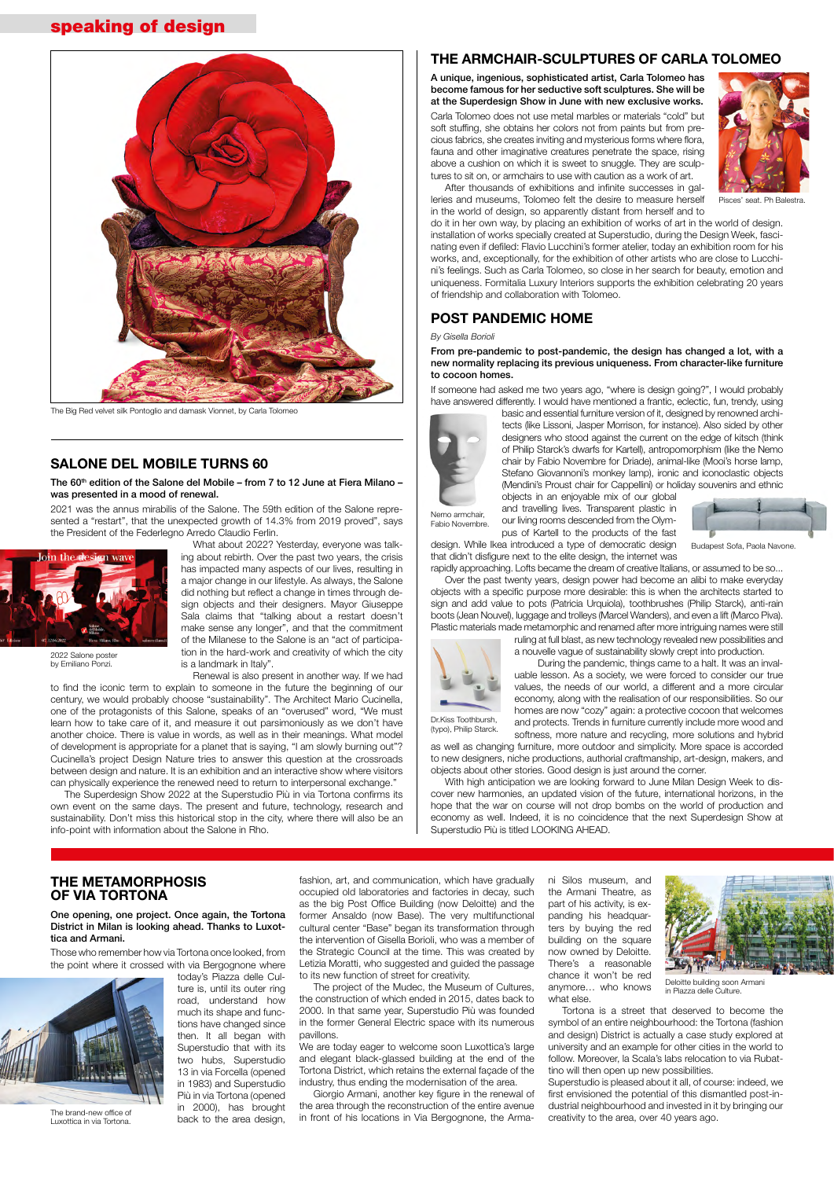## THE METAMORPHOSIS

### OF VIA TORTONA

One opening, one project. Once again, the Tortona District in Milan is looking ahead. Thanks to Luxottica and Armani.

Those who remember how via Tortona once looked, from the point where it crossed with via Bergognone where

> today's Piazza delle Culture is, until its outer ring road, understand how much its shape and functions have changed since then. It all began with Superstudio that with its two hubs, Superstudio 13 in via Forcella (opened in 1983) and Superstudio Più in via Tortona (opened in 2000), has brought back to the area design,

occupied old laboratories and factories in decay, such as the big Post Office Building (now Deloitte) and the former Ansaldo (now Base). The very multifunctional cultural center "Base" began its transformation through the intervention of Gisella Borioli, who was a member of the Strategic Council at the time. This was created by Letizia Moratti, who suggested and guided the passage to its new function of street for creativity.

the Armani Theatre, as part of his activity, is expanding his headquarters by buying the red building on the square now owned by Deloitte. There's a reasonable chance it won't be red anymore… who knows what else.

fashion, art, and communication, which have gradually ni Silos museum, and



The project of the Mudec, the Museum of Cultures, the construction of which ended in 2015, dates back to 2000. In that same year, Superstudio Più was founded in the former General Electric space with its numerous pavillons.

We are today eager to welcome soon Luxottica's large and elegant black-glassed building at the end of the Tortona District, which retains the external façade of the industry, thus ending the modernisation of the area.

Giorgio Armani, another key figure in the renewal of the area through the reconstruction of the entire avenue in front of his locations in Via Bergognone, the Arma-

Tortona is a street that deserved to become the symbol of an entire neighbourhood: the Tortona (fashion and design) District is actually a case study explored at university and an example for other cities in the world to follow. Moreover, la Scala's labs relocation to via Rubattino will then open up new possibilities.

Superstudio is pleased about it all, of course: indeed, we first envisioned the potential of this dismantled post-industrial neighbourhood and invested in it by bringing our creativity to the area, over 40 years ago.

### THE ARMCHAIR-SCULPTURES OF CARLA TOLOMEO

A unique, ingenious, sophisticated artist, Carla Tolomeo has become famous for her seductive soft sculptures. She will be at the Superdesign Show in June with new exclusive works. Carla Tolomeo does not use metal marbles or materials "cold" but soft stuffing, she obtains her colors not from paints but from precious fabrics, she creates inviting and mysterious forms where flora, fauna and other imaginative creatures penetrate the space, rising above a cushion on which it is sweet to snuggle. They are sculptures to sit on, or armchairs to use with caution as a work of art.



After thousands of exhibitions and infinite successes in galleries and museums, Tolomeo felt the desire to measure herself in the world of design, so apparently distant from herself and to

The 60<sup>th</sup> edition of the Salone del Mobile – from 7 to 12 June at Fiera Milano – was presented in a mood of renewal.

do it in her own way, by placing an exhibition of works of art in the world of design. installation of works specially created at Superstudio, during the Design Week, fascinating even if defiled: Flavio Lucchini's former atelier, today an exhibition room for his works, and, exceptionally, for the exhibition of other artists who are close to Lucchini's feelings. Such as Carla Tolomeo, so close in her search for beauty, emotion and uniqueness. Formitalia Luxury Interiors supports the exhibition celebrating 20 years of friendship and collaboration with Tolomeo.

## POST PANDEMIC HOME

#### *By Gisella Borioli*

From pre-pandemic to post-pandemic, the design has changed a lot, with a new normality replacing its previous uniqueness. From character-like furniture to cocoon homes.

If someone had asked me two years ago, "where is design going?", I would probably have answered differently. I would have mentioned a frantic, eclectic, fun, trendy, using

basic and essential furniture version of it, designed by renowned architects (like Lissoni, Jasper Morrison, for instance). Also sided by other designers who stood against the current on the edge of kitsch (think of Philip Starck's dwarfs for Kartell), antropomorphism (like the Nemo chair by Fabio Novembre for Driade), animal-like (Mooi's horse lamp, Stefano Giovannoni's monkey lamp), ironic and iconoclastic objects (Mendini's Proust chair for Cappellini) or holiday souvenirs and ethnic

design. While Ikea introduced a type of democratic design that didn't disfigure next to the elite design, the internet was rapidly approaching. Lofts became the dream of creative Italians, or assumed to be so...

Over the past twenty years, design power had become an alibi to make everyday objects with a specific purpose more desirable: this is when the architects started to sign and add value to pots (Patricia Urquiola), toothbrushes (Philip Starck), anti-rain boots (Jean Nouvel), luggage and trolleys (Marcel Wanders), and even a lift (Marco Piva).

Plastic materials made metamorphic and renamed after more intriguing names were still ruling at full blast, as new technology revealed new possibilities and a nouvelle vague of sustainability slowly crept into production.

During the pandemic, things came to a halt. It was an invaluable lesson. As a society, we were forced to consider our true values, the needs of our world, a different and a more circular economy, along with the realisation of our responsibilities. So our homes are now "cozy" again: a protective cocoon that welcomes and protects. Trends in furniture currently include more wood and

softness, more nature and recycling, more solutions and hybrid as well as changing furniture, more outdoor and simplicity. More space is accorded to new designers, niche productions, authorial craftmanship, art-design, makers, and objects about other stories. Good design is just around the corner.

With high anticipation we are looking forward to June Milan Design Week to discover new harmonies, an updated vision of the future, international horizons, in the hope that the war on course will not drop bombs on the world of production and economy as well. Indeed, it is no coincidence that the next Superdesign Show at Superstudio Più is titled LOOKING AHEAD.



The brand-new office of Luxottica in via Tortona.

Deloitte building soon Armani in Piazza delle Culture.

## SALONE DEL MOBILE TURNS 60

objects in an enjoyable mix of our global and travelling lives. Transparent plastic in our living rooms descended from the Olympus of Kartell to the products of the fast Fabio Novembre.



2021 was the annus mirabilis of the Salone. The 59th edition of the Salone represented a "restart", that the unexpected growth of 14.3% from 2019 proved", says the President of the Federlegno Arredo Claudio Ferlin.

> What about 2022? Yesterday, everyone was talking about rebirth. Over the past two years, the crisis has impacted many aspects of our lives, resulting in a major change in our lifestyle. As always, the Salone did nothing but reflect a change in times through design objects and their designers. Mayor Giuseppe Sala claims that "talking about a restart doesn't make sense any longer", and that the commitment of the Milanese to the Salone is an "act of participation in the hard-work and creativity of which the city is a landmark in Italy".

Renewal is also present in another way. If we had

to find the iconic term to explain to someone in the future the beginning of our century, we would probably choose "sustainability". The Architect Mario Cucinella, one of the protagonists of this Salone, speaks of an "overused" word, "We must learn how to take care of it, and measure it out parsimoniously as we don't have another choice. There is value in words, as well as in their meanings. What model of development is appropriate for a planet that is saying, "I am slowly burning out"? Cucinella's project Design Nature tries to answer this question at the crossroads between design and nature. It is an exhibition and an interactive show where visitors can physically experience the renewed need to return to interpersonal exchange."

The Superdesign Show 2022 at the Superstudio Più in via Tortona confirms its own event on the same days. The present and future, technology, research and sustainability. Don't miss this historical stop in the city, where there will also be an info-point with information about the Salone in Rho.



The Big Red velvet silk Pontoglio and damask Vionnet, by Carla Tolomeo

## speaking of design

Budapest Sofa, Paola Navone.





(typo), Philip Starck.



2022 Salone poster by Emiliano Ponzi.

Pisces' seat. Ph Balestra.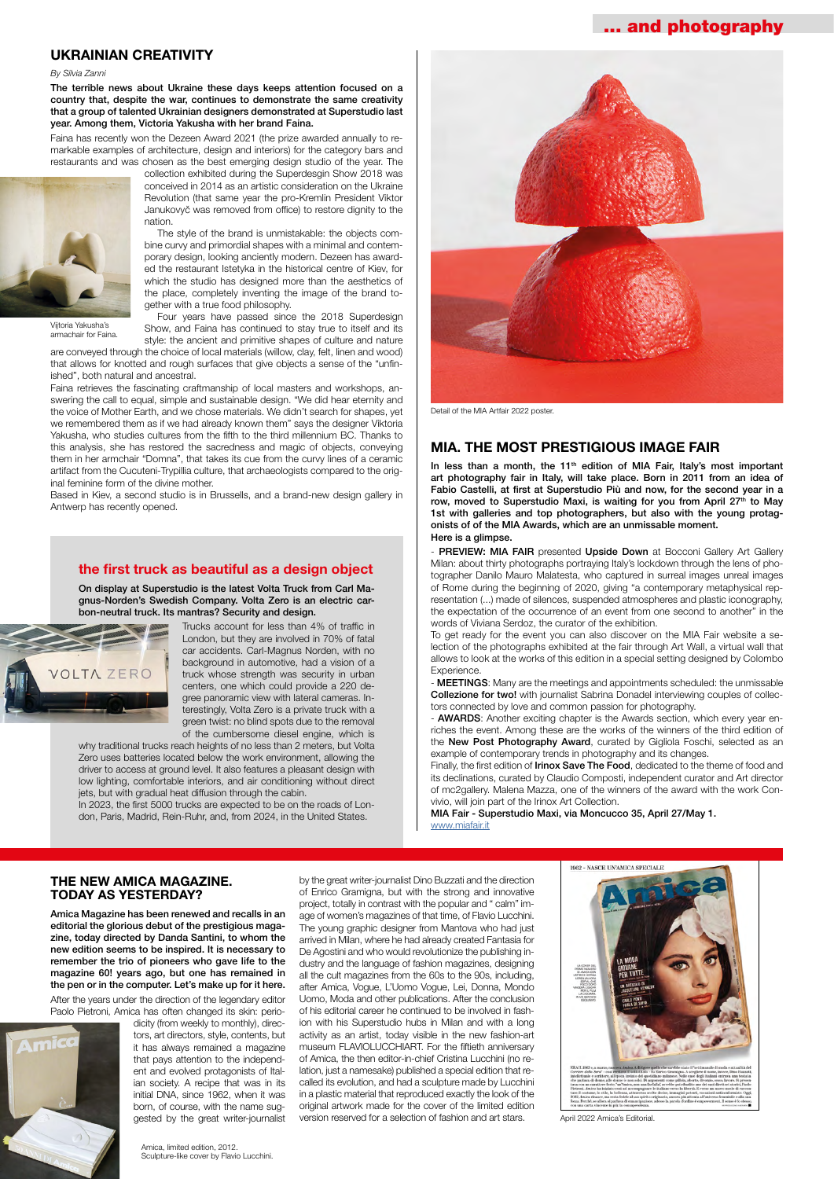## UKRAINIAN CREATIVITY

#### *By Silvia Zanni*

The terrible news about Ukraine these days keeps attention focused on a country that, despite the war, continues to demonstrate the same creativity that a group of talented Ukrainian designers demonstrated at Superstudio last year. Among them, Victoria Yakusha with her brand Faina.

Faina has recently won the Dezeen Award 2021 (the prize awarded annually to remarkable examples of architecture, design and interiors) for the category bars and restaurants and was chosen as the best emerging design studio of the year. The



collection exhibited during the Superdesgin Show 2018 was conceived in 2014 as an artistic consideration on the Ukraine Revolution (that same year the pro-Kremlin President Viktor Janukovyč was removed from office) to restore dignity to the nation.

The style of the brand is unmistakable: the objects combine curvy and primordial shapes with a minimal and contemporary design, looking anciently modern. Dezeen has awarded the restaurant Istetyka in the historical centre of Kiev, for which the studio has designed more than the aesthetics of the place, completely inventing the image of the brand together with a true food philosophy.

Four years have passed since the 2018 Superdesign Show, and Faina has continued to stay true to itself and its style: the ancient and primitive shapes of culture and nature

are conveyed through the choice of local materials (willow, clay, felt, linen and wood) that allows for knotted and rough surfaces that give objects a sense of the "unfinished", both natural and ancestral.

why traditional trucks reach heights of no less than 2 meters, but Volta Zero uses batteries located below the work environment, allowing the driver to access at ground level. It also features a pleasant design with low lighting, comfortable interiors, and air conditioning without direct jets, but with gradual heat diffusion through the cabin.

Faina retrieves the fascinating craftmanship of local masters and workshops, answering the call to equal, simple and sustainable design. "We did hear eternity and the voice of Mother Earth, and we chose materials. We didn't search for shapes, yet we remembered them as if we had already known them" says the designer Viktoria Yakusha, who studies cultures from the fifth to the third millennium BC. Thanks to this analysis, she has restored the sacredness and magic of objects, conveying them in her armchair "Domna", that takes its cue from the curvy lines of a ceramic artifact from the Cucuteni-Trypillia culture, that archaeologists compared to the original feminine form of the divine mother.

In less than a month, the 11<sup>th</sup> edition of MIA Fair, Italy's most important art photography fair in Italy, will take place. Born in 2011 from an idea of Fabio Castelli, at first at Superstudio Più and now, for the second year in a row, moved to Superstudio Maxi, is waiting for you from April  $27<sup>th</sup>$  to May 1st with galleries and top photographers, but also with the young protagonists of of the MIA Awards, which are an unmissable moment. Here is a glimpse.

- PREVIEW: MIA FAIR presented Upside Down at Bocconi Gallery Art Gallery Milan: about thirty photographs portraying Italy's lockdown through the lens of photographer Danilo Mauro Malatesta, who captured in surreal images unreal images of Rome during the beginning of 2020, giving "a contemporary metaphysical representation (...) made of silences, suspended atmospheres and plastic iconography, the expectation of the occurrence of an event from one second to another" in the words of Viviana Serdoz, the curator of the exhibition.

Based in Kiev, a second studio is in Brussells, and a brand-new design gallery in Antwerp has recently opened.

#### the first truck as beautiful as a design object

On display at Superstudio is the latest Volta Truck from Carl Magnus-Norden's Swedish Company. Volta Zero is an electric carbon-neutral truck. Its mantras? Security and design.



Trucks account for less than 4% of traffic in London, but they are involved in 70% of fatal car accidents. Carl-Magnus Norden, with no background in automotive, had a vision of a truck whose strength was security in urban centers, one which could provide a 220 degree panoramic view with lateral cameras. Interestingly, Volta Zero is a private truck with a green twist: no blind spots due to the removal of the cumbersome diesel engine, which is

> Finally, the first edition of Irinox Save The Food, dedicated to the theme of food and its declinations, curated by Claudio Composti, independent curator and Art director of mc2gallery. Malena Mazza, one of the winners of the award with the work Convivio, will join part of the Irinox Art Collection.

In 2023, the first 5000 trucks are expected to be on the roads of London, Paris, Madrid, Rein-Ruhr, and, from 2024, in the United States.

Vijtoria Yakusha's armachair for Faina.



Detail of the MIA Artfair 2022 poster.

## MIA. THE MOST PRESTIGIOUS IMAGE FAIR

To get ready for the event you can also discover on the MIA Fair website a selection of the photographs exhibited at the fair through Art Wall, a virtual wall that allows to look at the works of this edition in a special setting designed by Colombo Experience.

- MEETINGS: Many are the meetings and appointments scheduled: the unmissable Collezione for two! with journalist Sabrina Donadel interviewing couples of collectors connected by love and common passion for photography.

- AWARDS: Another exciting chapter is the Awards section, which every year enriches the event. Among these are the works of the winners of the third edition of the New Post Photography Award, curated by Gigliola Foschi, selected as an example of contemporary trends in photography and its changes.

MIA Fair - Superstudio Maxi, via Moncucco 35, April 27/May 1. [www.miafair.it](http://www.miafair.it)

## THE NEW AMICA MAGAZINE.

#### TODAY AS YESTERDAY?

Amica Magazine has been renewed and recalls in an editorial the glorious debut of the prestigious magazine, today directed by Danda Santini, to whom the new edition seems to be inspired. It is necessary to remember the trio of pioneers who gave life to the magazine 60! years ago, but one has remained in the pen or in the computer. Let's make up for it here.

After the years under the direction of the legendary editor Paolo Pietroni, Amica has often changed its skin: perio-



dicity (from weekly to monthly), directors, art directors, style, contents, but it has always remained a magazine that pays attention to the independent and evolved protagonists of Italian society. A recipe that was in its initial DNA, since 1962, when it was born, of course, with the name suggested by the great writer-journalist by the great writer-journalist Dino Buzzati and the direction



of Enrico Gramigna, but with the strong and innovative project, totally in contrast with the popular and " calm" image of women's magazines of that time, of Flavio Lucchini. The young graphic designer from Mantova who had just arrived in Milan, where he had already created Fantasia for De Agostini and who would revolutionize the publishing industry and the language of fashion magazines, designing all the cult magazines from the 60s to the 90s, including, after Amica, Vogue, L'Uomo Vogue, Lei, Donna, Mondo Uomo, Moda and other publications. After the conclusion of his editorial career he continued to be involved in fashion with his Superstudio hubs in Milan and with a long activity as an artist, today visible in the new fashion-art museum FLAVIOLUCCHIART. For the fiftieth anniversary of Amica, the then editor-in-chief Cristina Lucchini (no relation, just a namesake) published a special edition that recalled its evolution, and had a sculpture made by Lucchini in a plastic material that reproduced exactly the look of the original artwork made for the cover of the limited edition version reserved for a selection of fashion and art stars.



## ... and photography

April 2022 Amica's Editorial.

Amica, limited edition, 2012. Sculpture-like cover by Flavio Lucchini.